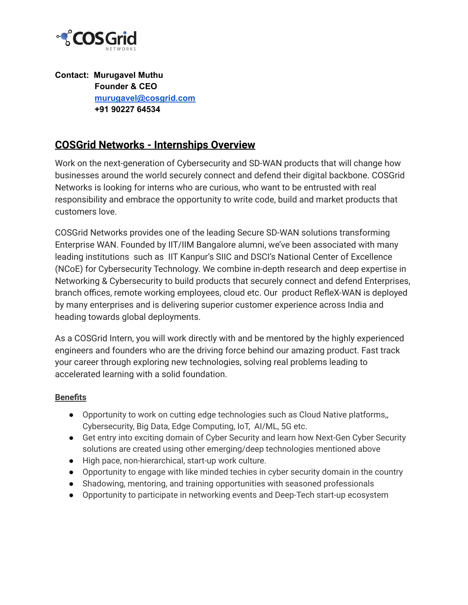

**Contact: Murugavel Muthu Founder & CEO [murugavel@cosgrid.com](mailto:murugavel@cosgrid.com) +91 90227 64534**

### **COSGrid Networks - Internships Overview**

Work on the next-generation of Cybersecurity and SD-WAN products that will change how businesses around the world securely connect and defend their digital backbone. COSGrid Networks is looking for interns who are curious, who want to be entrusted with real responsibility and embrace the opportunity to write code, build and market products that customers love.

COSGrid Networks provides one of the leading Secure SD-WAN solutions transforming Enterprise WAN. Founded by IIT/IIM Bangalore alumni, we've been associated with many leading institutions such as IIT Kanpur's SIIC and DSCI's National Center of Excellence (NCoE) for Cybersecurity Technology. We combine in-depth research and deep expertise in Networking & Cybersecurity to build products that securely connect and defend Enterprises, branch offices, remote working employees, cloud etc. Our product RefleX-WAN is deployed by many enterprises and is delivering superior customer experience across India and heading towards global deployments.

As a COSGrid Intern, you will work directly with and be mentored by the highly experienced engineers and founders who are the driving force behind our amazing product. Fast track your career through exploring new technologies, solving real problems leading to accelerated learning with a solid foundation.

#### **Benefits**

- Opportunity to work on cutting edge technologies such as Cloud Native platforms, Cybersecurity, Big Data, Edge Computing, IoT, AI/ML, 5G etc.
- Get entry into exciting domain of Cyber Security and learn how Next-Gen Cyber Security solutions are created using other emerging/deep technologies mentioned above
- High pace, non-hierarchical, start-up work culture.
- Opportunity to engage with like minded techies in cyber security domain in the country
- Shadowing, mentoring, and training opportunities with seasoned professionals
- Opportunity to participate in networking events and Deep-Tech start-up ecosystem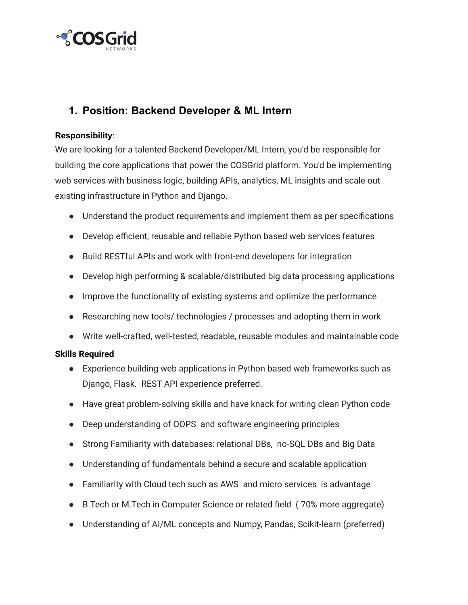

## **1. Position: Backend Developer & ML Intern**

#### **Responsibility**:

We are looking for a talented Backend Developer/ML Intern, you'd be responsible for building the core applications that power the COSGrid platform. You'd be implementing web services with business logic, building APIs, analytics, ML insights and scale out existing infrastructure in Python and Django.

- Understand the product requirements and implement them as per specifications
- Develop efficient, reusable and reliable Python based web services features
- Build RESTful APIs and work with front-end developers for integration
- Develop high performing & scalable/distributed big data processing applications
- Improve the functionality of existing systems and optimize the performance
- Researching new tools/ technologies / processes and adopting them in work
- Write well-crafted, well-tested, readable, reusable modules and maintainable code

### **Skills Required**

- Experience building web applications in Python based web frameworks such as Django, Flask. REST API experience preferred.
- Have great problem-solving skills and have knack for writing clean Python code
- Deep understanding of OOPS and software engineering principles
- Strong Familiarity with databases: relational DBs, no-SQL DBs and Big Data
- Understanding of fundamentals behind a secure and scalable application
- Familiarity with Cloud tech such as AWS and micro services is advantage
- B. Tech or M. Tech in Computer Science or related field (70% more aggregate)
- Understanding of AI/ML concepts and Numpy, Pandas, Scikit-learn (preferred)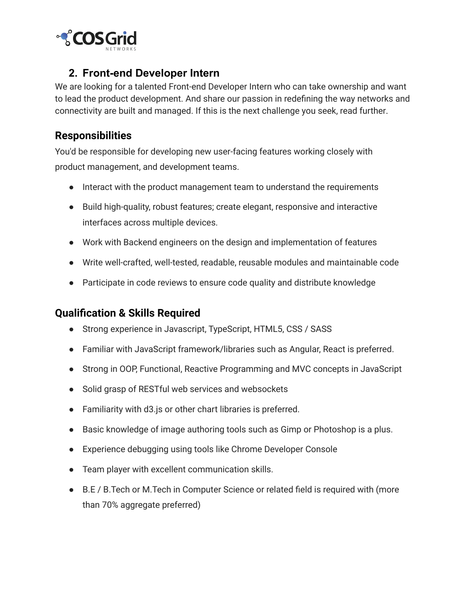

## **2. Front-end Developer Intern**

We are looking for a talented Front-end Developer Intern who can take ownership and want to lead the product development. And share our passion in redefining the way networks and connectivity are built and managed. If this is the next challenge you seek, read further.

### **Responsibilities**

You'd be responsible for developing new user-facing features working closely with product management, and development teams.

- Interact with the product management team to understand the requirements
- Build high-quality, robust features; create elegant, responsive and interactive interfaces across multiple devices.
- Work with Backend engineers on the design and implementation of features
- Write well-crafted, well-tested, readable, reusable modules and maintainable code
- Participate in code reviews to ensure code quality and distribute knowledge

### **Qualification & Skills Required**

- Strong experience in Javascript, TypeScript, HTML5, CSS / SASS
- Familiar with JavaScript framework/libraries such as Angular, React is preferred.
- Strong in OOP, Functional, Reactive Programming and MVC concepts in JavaScript
- Solid grasp of RESTful web services and websockets
- Familiarity with d3.js or other chart libraries is preferred.
- Basic knowledge of image authoring tools such as Gimp or Photoshop is a plus.
- Experience debugging using tools like Chrome Developer Console
- Team player with excellent communication skills.
- B.E / B.Tech or M.Tech in Computer Science or related field is required with (more than 70% aggregate preferred)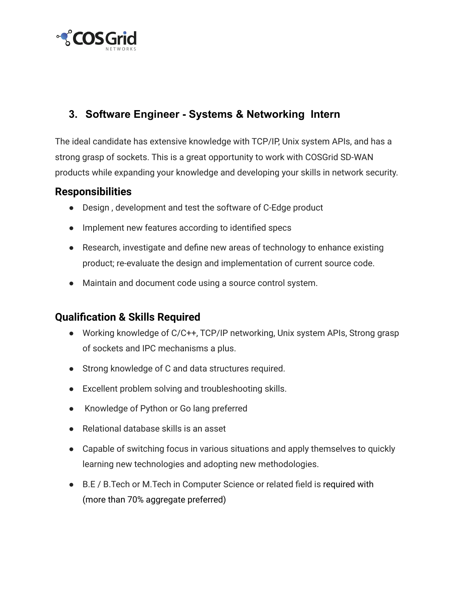

## **3. Software Engineer - Systems & Networking Intern**

The ideal candidate has extensive knowledge with TCP/IP, Unix system APIs, and has a strong grasp of sockets. This is a great opportunity to work with COSGrid SD-WAN products while expanding your knowledge and developing your skills in network security.

### **Responsibilities**

- Design , development and test the software of C-Edge product
- Implement new features according to identified specs
- Research, investigate and define new areas of technology to enhance existing product; re-evaluate the design and implementation of current source code.
- Maintain and document code using a source control system.

## **Qualification & Skills Required**

- Working knowledge of C/C++, TCP/IP networking, Unix system APIs, Strong grasp of sockets and IPC mechanisms a plus.
- Strong knowledge of C and data structures required.
- Excellent problem solving and troubleshooting skills.
- Knowledge of Python or Go lang preferred
- Relational database skills is an asset
- Capable of switching focus in various situations and apply themselves to quickly learning new technologies and adopting new methodologies.
- B.E / B.Tech or M.Tech in Computer Science or related field is required with (more than 70% aggregate preferred)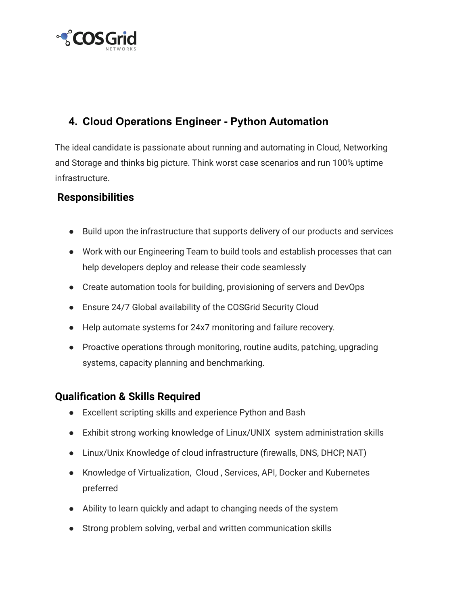

# **4. Cloud Operations Engineer - Python Automation**

The ideal candidate is passionate about running and automating in Cloud, Networking and Storage and thinks big picture. Think worst case scenarios and run 100% uptime infrastructure.

## **Responsibilities**

- Build upon the infrastructure that supports delivery of our products and services
- Work with our Engineering Team to build tools and establish processes that can help developers deploy and release their code seamlessly
- Create automation tools for building, provisioning of servers and DevOps
- Ensure 24/7 Global availability of the COSGrid Security Cloud
- Help automate systems for 24x7 monitoring and failure recovery.
- Proactive operations through monitoring, routine audits, patching, upgrading systems, capacity planning and benchmarking.

### **Qualification & Skills Required**

- Excellent scripting skills and experience Python and Bash
- Exhibit strong working knowledge of Linux/UNIX system administration skills
- Linux/Unix Knowledge of cloud infrastructure (firewalls, DNS, DHCP, NAT)
- Knowledge of Virtualization, Cloud , Services, API, Docker and Kubernetes preferred
- Ability to learn quickly and adapt to changing needs of the system
- Strong problem solving, verbal and written communication skills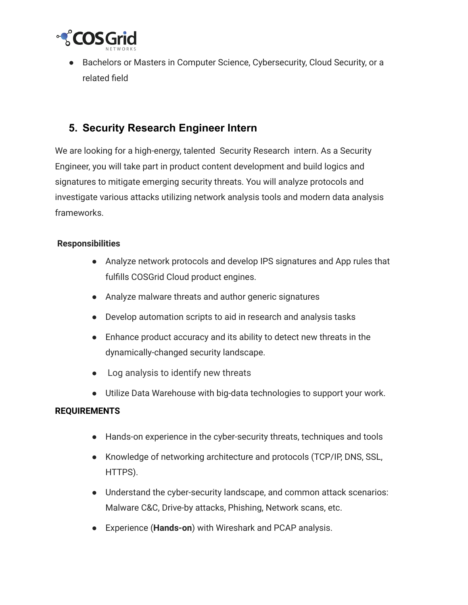

● Bachelors or Masters in Computer Science, Cybersecurity, Cloud Security, or a related field

### **5. Security Research Engineer Intern**

We are looking for a high-energy, talented Security Research intern. As a Security Engineer, you will take part in product content development and build logics and signatures to mitigate emerging security threats. You will analyze protocols and investigate various attacks utilizing network analysis tools and modern data analysis frameworks.

#### **Responsibilities**

- Analyze network protocols and develop IPS signatures and App rules that fulfills COSGrid Cloud product engines.
- Analyze malware threats and author generic signatures
- Develop automation scripts to aid in research and analysis tasks
- Enhance product accuracy and its ability to detect new threats in the dynamically-changed security landscape.
- Log analysis to identify new threats
- Utilize Data Warehouse with big-data technologies to support your work.

#### **REQUIREMENTS**

- Hands-on experience in the cyber-security threats, techniques and tools
- Knowledge of networking architecture and protocols (TCP/IP, DNS, SSL, HTTPS).
- Understand the cyber-security landscape, and common attack scenarios: Malware C&C, Drive-by attacks, Phishing, Network scans, etc.
- Experience (**Hands-on**) with Wireshark and PCAP analysis.